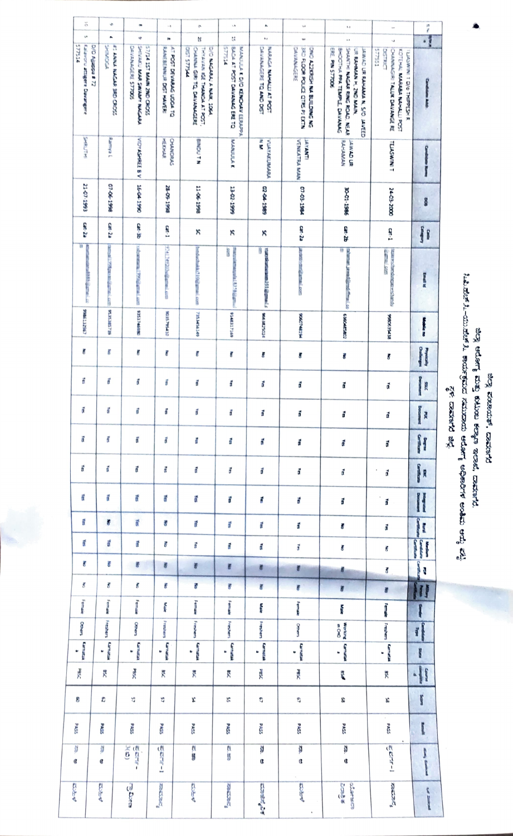## ಜಿಲ್ಲಾ ಶಂಚಾಯಕ್, ದಾವಣಗರ

## ಜಿಲ್ಲಾ ಆರೋಗ್ಯ ಮತ್ತು ಕುಟುಂಬ ಕಲ್ಯಾಂ ಇಲಾಜಿ, ದಾವಣಗರ.<br>ಓಪಿ.ಪೆ.ಬಿ-ಯು.ಪೆ.ಸೆ. ಕಾರ್ಯಕ್ರಮದ ನಮರಾಯ ಆರೋಗ್ಯ ಅಧಿಕಾರಿಗಳ ಅಂತಿಮ ಆದ್ಯೆ ಪಟ್ಟಿ<br>ಸ್ಥಳಿ: ದಾವಣಗರ ಜಿಲ್ಲೆ

| ŏ<br>$\mathbf{v}$                                   | ė<br>۸                                    | œ<br>ŵ                                                                       | $\sim$ )                                                   | ø.                                                                                     | $\lambda$                                                  | ٨                                                       | $\omega$                                                                    | H                                                                                                                                                | $\overline{a}$                                                                           | <b>.</b>                          |
|-----------------------------------------------------|-------------------------------------------|------------------------------------------------------------------------------|------------------------------------------------------------|----------------------------------------------------------------------------------------|------------------------------------------------------------|---------------------------------------------------------|-----------------------------------------------------------------------------|--------------------------------------------------------------------------------------------------------------------------------------------------|------------------------------------------------------------------------------------------|-----------------------------------|
| <b>S77514</b>                                       | <b>PRINCIPS</b>                           |                                                                              | (v                                                         | Ŋ<br><b>PPSLLS LSID</b>                                                                | t,<br><b>ALSZLS</b>                                        | M                                                       | w                                                                           | j.                                                                                                                                               | $\ddot{\phantom{0}}$<br>577551<br><b>DISTRICT</b>                                        |                                   |
| <b>Leiavoru attigere Davarene</b><br>D/D Agapa # 72 | <b>ET ANNA NAGAR SRD CROSS</b>            | SHIVALLI MAR SMAMY NAGARA<br>DAVANAGERE STROOS<br>SOULD A TOP WANT THE CROSS | AT POST DEVARAGE UDDA TO<br><b>PLANEBENNIUR DIST HANGE</b> | D/O NACARAL A NAIK, 1064<br>THYANAM REE THANKINA AT POST,<br>CHANNA GIRI TO DAVANAGERE | BACK AT POST DAMAGES ERE TO<br>MARGIN I DVD IEROARD EERAPA | DAVANAGERE TO AND DIST<br><b>NABAGA MAHALLI AT POST</b> | 3RD ROOR POLICE CTRS PI BOTN<br>DAVANA CERE<br>CINC AZZKRISH NA BUILDING NG | SHATH NAGAR RING ROAD, NEAR<br><b>ERE, PIN S77006</b><br>BHOOTHA PPA TEMPLE, DAVANAG<br>UR RAHMAN H, ZND MAIN<br>JAIMAD UR RAHAMA N. S/D. JAVEED | CHANNAGIRI TALLUK DAVANGE RE<br>FOTEFIN, MARIAL NAHALLI POST<br>TELASWERT D/G THIRPESH R | <b>Conduter Add</b>               |
| <b>HELTING</b>                                      | <b>Partner</b>                            | <b>M61 10-91</b> A B 33645140M                                               | CHANDRAC<br><b>HERAPA</b>                                  | N 1 NONIG                                                                              | <b>MANULA K</b>                                            | ę<br><b>VISYMETAY AND</b>                               | <b>VENICATRA MAN</b><br><b>TAKAMI</b>                                       | <b>BAHAMAN</b><br><b>RU CAWAL</b>                                                                                                                | <b>TEACHING</b>                                                                          | <b>Candida</b> Real               |
| 21-07-1993                                          | 07-06-1998                                |                                                                              | 28-09-1998                                                 | 11-06-1998                                                                             | 13-02-1999                                                 | 02-04-1989                                              | 07-03-1984                                                                  | 30-01-1986                                                                                                                                       | 24-03-2000                                                                               | š                                 |
| C8-28                                               | $ca - 2a$                                 | Cat-30                                                                       | an-1                                                       | ξ                                                                                      | ĸ                                                          | ×                                                       | $\alpha$ - $2a$                                                             | cat-26                                                                                                                                           | an.                                                                                      | Jf                                |
| W<br>Ī<br><b>CONTRACTOR</b>                         | SELSESES   UNIVERSITY   PERSONAL PROPERTY | volumentary PPM grant com   935.5746550                                      | <b>97417492026040040160</b>                                | beduch dist. 10@gmaxi.com                                                              | manustering and 153.96 ground<br><b>COND</b>               | 隨<br>suspicement (i) formula                            | BEESING BEESING                                                             | Gimman Jewel@ord (Treas)<br>U                                                                                                                    | WERE CONTROLLED<br><b>SCHOOL COMPANY</b>                                                 | I                                 |
| 198513262                                           |                                           |                                                                              | <b>GEPFALSTOS</b>                                          | 78534563.49                                                                            | 9348317389                                                 | <b>MARKASH</b>                                          | <b>MEDICORD</b>                                                             | 1080002507                                                                                                                                       | R163085                                                                                  | <b>Making</b>                     |
| ş                                                   | ŗ                                         | ÿ                                                                            | ĝ                                                          | ş                                                                                      | ş                                                          | ğ                                                       | ŧ                                                                           | ş                                                                                                                                                | ŧ                                                                                        | I                                 |
| ă                                                   | ť                                         | đ                                                                            | ť                                                          | ã                                                                                      | ã                                                          | đ                                                       | đ                                                                           | ď                                                                                                                                                | đ                                                                                        | <b>Contract of</b><br>潭           |
| õ                                                   | đ                                         | î                                                                            | î                                                          | đ                                                                                      | ť                                                          | ã                                                       | ć                                                                           | đ                                                                                                                                                | ð                                                                                        | <b>Designation</b><br>A           |
| f                                                   | ť                                         | ť                                                                            | Í                                                          | <b>A</b>                                                                               | ģ                                                          | ã                                                       | đ                                                                           | đ                                                                                                                                                | ř                                                                                        | H                                 |
| ť                                                   | đ                                         | ť                                                                            | ť                                                          | ã                                                                                      | ğ                                                          | đ                                                       | đ                                                                           | đ                                                                                                                                                | ď                                                                                        | <b>Contracts</b><br>R             |
| ť                                                   | ť                                         | ŕ                                                                            | é                                                          | f                                                                                      | đ                                                          | đ                                                       | ť                                                                           | đ                                                                                                                                                | $\,$<br>đ                                                                                | I                                 |
| ę                                                   | ŝ                                         | ň                                                                            | š                                                          | ř                                                                                      | ť                                                          | đ                                                       | đ                                                                           | š                                                                                                                                                | đ                                                                                        | i<br>P<br>I                       |
| đ                                                   | ď                                         | ť                                                                            | F                                                          | ă                                                                                      | á                                                          | ť                                                       | đ                                                                           | š                                                                                                                                                | š                                                                                        | I<br><b><i><u>Sambana</u></i></b> |
| ē                                                   | ŝ                                         | đ                                                                            | Ŧ                                                          | F                                                                                      | ť                                                          | đ                                                       | đ                                                                           | đ.                                                                                                                                               | š                                                                                        | ļ<br>ł                            |
| ₹                                                   | š                                         | š                                                                            | Ś                                                          | ę                                                                                      | ť                                                          | F                                                       | ŧ                                                                           | ł                                                                                                                                                | ā                                                                                        | H                                 |
| <b>Temple</b>                                       | i<br>Manazir                              | <b>Finance</b>                                                               | Í                                                          | <b>Texases</b>                                                                         | <b>Somewhere</b>                                           | Į                                                       | <b>Temple</b>                                                               | Î,                                                                                                                                               | İ                                                                                        | Į                                 |
| <b>Ochem</b>                                        | <b>The Second</b>                         | <b>Cities</b>                                                                | Freshers                                                   | Freshens                                                                               | Freshers                                                   | Freshens                                                | <b>Select</b>                                                               | DiO ut<br><b>B</b> assant                                                                                                                        | Freshers                                                                                 | 1                                 |
| <b>Greate</b><br>à.                                 | <b>Contact</b><br>۰                       | <b>Constant</b><br>¥                                                         | <b>GUNDA</b><br>$\ddot{\phantom{0}}$                       | <b><i><u>PARTICIPAL</u></i></b><br>u                                                   | <b>Control</b><br>¥                                        | <b>Participants</b><br>$\ddot{\phantom{0}}$             | <b>Extending</b><br>$\ddot{\phantom{0}}$                                    | <b>PERMIT</b><br>L                                                                                                                               | 10000<br>u                                                                               | ľ                                 |
| ř                                                   | X.                                        | 厦                                                                            | χg                                                         | Å                                                                                      | Å                                                          | <b>DESC</b>                                             | <b>RESC</b>                                                                 | ř,                                                                                                                                               | X                                                                                        | -11                               |
| 8                                                   | చి                                        | £,                                                                           | 57                                                         | X,                                                                                     | S,                                                         | J                                                       | Ľ,                                                                          | g,                                                                                                                                               | ኤ                                                                                        | ľ                                 |
| Sang                                                | <b>Page</b>                               | 5325                                                                         | <b>SSR6</b>                                                | <b>Base</b>                                                                            | <b>PASS</b>                                                | SSW <sub>d</sub>                                        | SSW <sub>d</sub>                                                            | <b>Sase</b>                                                                                                                                      | <b>PASS</b>                                                                              | I                                 |
| ď<br>¢                                              | đ<br>¢                                    | <b>संघ</b><br>अंद्र                                                          | <b>CRAFT</b>                                               | n<br>B                                                                                 | e.<br>B                                                    | š<br>C                                                  | ď<br>¢                                                                      | ø<br>¢                                                                                                                                           | $\frac{1}{2}$                                                                            | <b>Reading</b>                    |
| Eder                                                | تعطنت                                     | ಬಾರಿಕ                                                                        | <b>RECEIVE</b>                                             | تحاطأت                                                                                 | <b>PECCARE</b>                                             | <b>Contact</b>                                          | ليحتنط                                                                      | <b>SOOS</b><br>otamado                                                                                                                           | <b>PRODUCT</b>                                                                           | <b><i>beam</i></b>                |